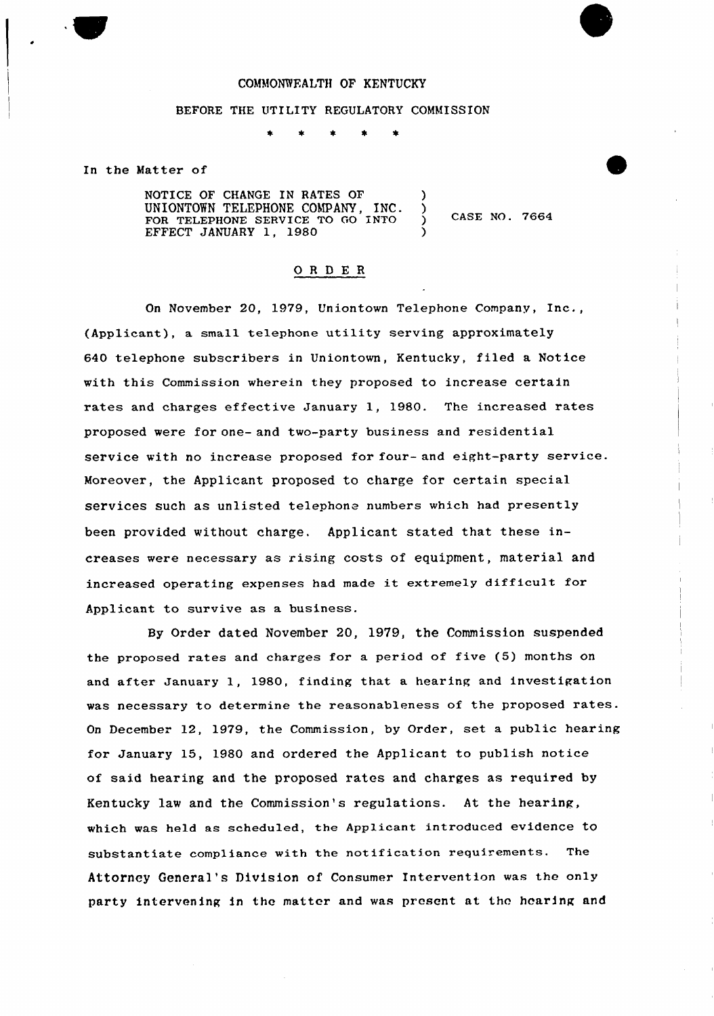### COMMONWFALTH OF KENTUCKY

### BEFORE THE UTILITY REGULATORY COMMISSION

In the Matter of

NOTICE OF CHANGE IN RATES OF UNIONTOWN TELEPHONE COMPANY, INC. FOR TELEPHONE SERVICE TO GO INTO EFFECT JANUARY 1, 1980 )

CASE NO. 7664

### ORDER

On November 20, 1979, Uniontown Telephone Company, Inc., (Applicant), a small telephone utility serving approximately 640 telephone subscribers in Uniontown, Kentucky, filed a Notice with this Commission wherein they proposed to increase certain rates and charges effective January 1, 1980. The increased rates proposed were for one- and two-party business and residential service with no increase proposed for four- and eight-party service. Moreover, the Applicant proposed to charge for certain special services such as unlisted telephone numbers which had presently been provided without charge. Applicant stated that these increases were necessary as rising costs of equipment, material and increased operating expenses had made it extremely difficult for Applicant to survive as a business.

By Order dated November 20, 1979, the Commission suspended the proposed rates and charges for a period of five (5) months on and after January 1, 1980, finding that a hearing and investigation was necessary to determine the reasonableness of the proposed rates. On December 12, 1979, the Commission, by Order, set a public hearing for January 15, 1980 and ordered the Applicant to publish notice of said hearing and the proposed rates and charges as required by Kentucky law and the Commission's regulations. At the hearing, which was held as scheduled, the Applicant introduced evidence to substantiate compliance with the notification requirements. The Attorney General's Division of Consumer Intervention was the only party intervening in the matter and was present at tho hearing and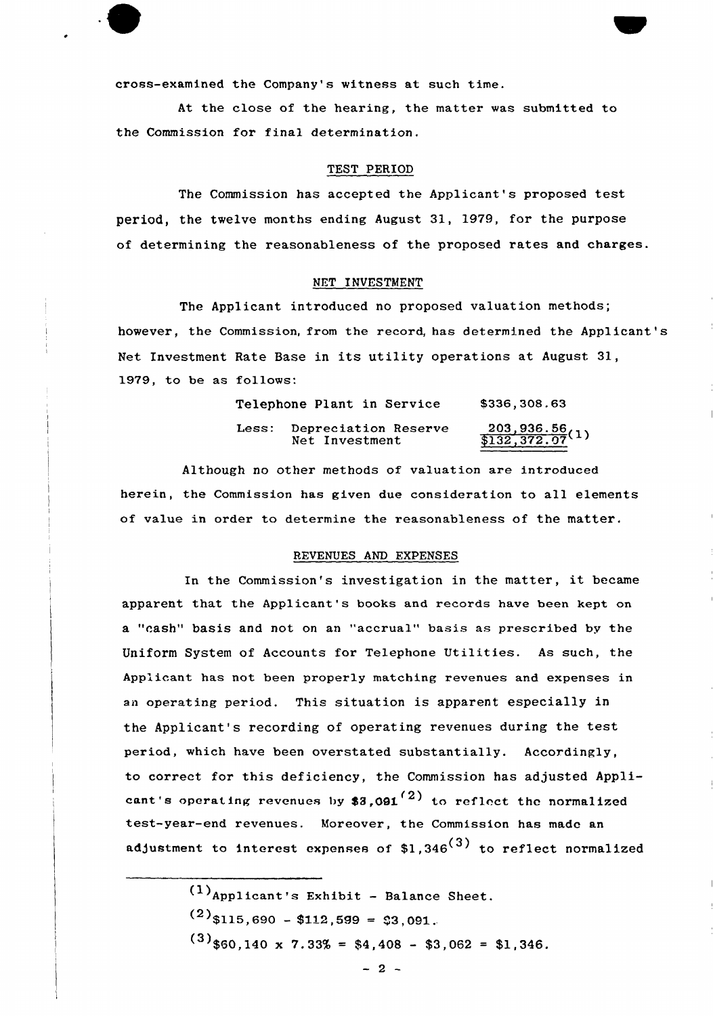cross-examined the Company's witness at such time.

At the close of the hearing, the matter was submitted to the Commission for final determination.

### TEST PERIOD

The Commission has accepted the Applicant's proposed test period, the twelve months ending August 31, 1979, for the purpose of determining the reasonableness of the proposed rates and charges.

### NET INVESTMENT

The Applicant introduced no proposed valuation methods; however, the Commission, from the record, has determined the Applicant's Net Investment Rate Base in its utility operations at August 31, 1979, to be as follows:

|       | Telephone Plant in Service             | \$336,308.63                        |
|-------|----------------------------------------|-------------------------------------|
| Less: | Depreciation Reserve<br>Net Investment | $\frac{203,936.56}{132,372.07}$ (1) |

Although no other methods of valuation are introduced herein, the Commission has given due consideration to all elements of value in order to determine the reasonableness of the matter.

#### REVENUES AND EXPENSES

In the Commission's investigation in the matter, it became apparent that the Applicant's books and records have been kept on a "cash" basis and not on an "accrual" basis as prescribed by the Uniform System of Accounts for Telephone Utilities. As such, the Applicant has not been properly matching revenues and expenses in an operating period. This situation is apparent especially in the Applicant's recording of operating revenues during the test period, which have been overstated substantially. Accordingly, to correct for this deficiency, the Commission has adjusted Applicant's operating revenues by  $3,091$  to reflect the normalized test-year-end revenues. Moreover, the Commission has made an adjustment to interest expenses of  $$1,346$ <sup>(3)</sup> to reflect normalized

> $(1)$ Applicant's Exhibit - Balance Sheet.  $(2)$ \$115,690 - \$112,599 = \$3,091.  $(3)$ \$60,140 x 7.33% = \$4,408 - \$3,062 = \$1,346.

> > $-2-$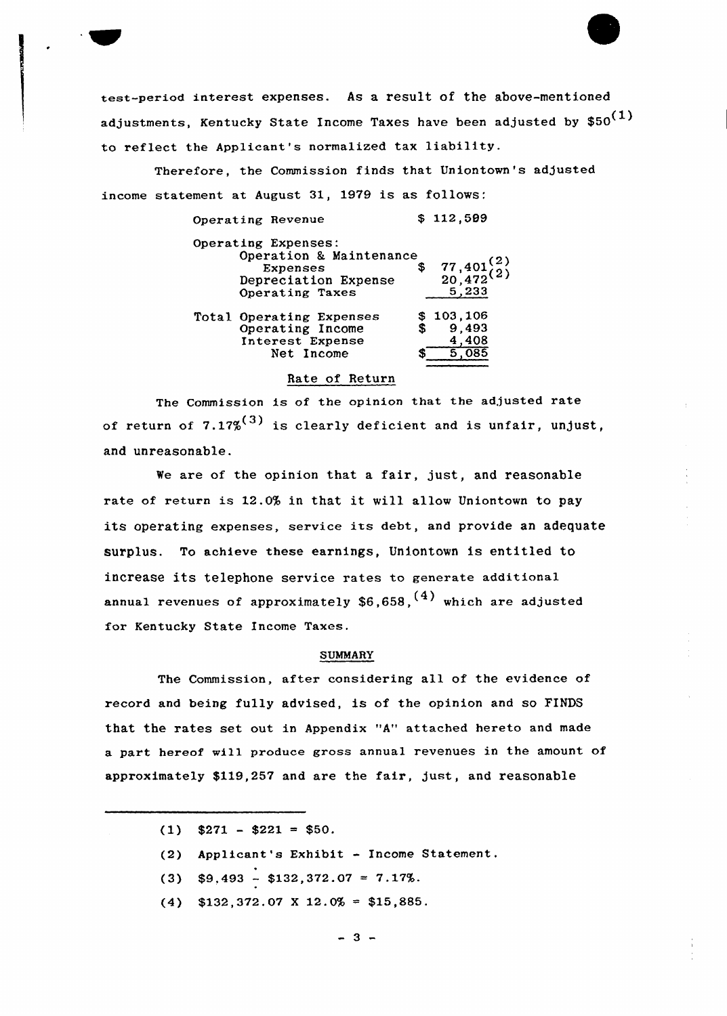eeet-period interest expenses. As a result of the above-mentioned adjustments, Kentucky State Income Taxes have been adjusted by  $$50^{(1)}$ to reflect the Applicant's normalized tax liability.

Therefore, the Commission finds that Uniontown's adjusted income statement at August 31, 1979 is as follows:

| Operating Revenue        |    | \$112,509               |
|--------------------------|----|-------------------------|
| Operating Expenses:      |    |                         |
| Operation & Maintenance  |    |                         |
| <b>Expenses</b>          | S. |                         |
| Depreciation Expense     |    | $77,401^{(2)}_{20,472}$ |
| Operating Taxes          |    | 5,233                   |
| Total Operating Expenses |    | \$103,106               |
| Operating Income         |    | 9,493                   |
| Interest Expense         |    | 408                     |
| Net Income               |    |                         |

# Rate of Return

The Commission is of the opinion that the adjusted rate of return of  $7.17\%^{(3)}$  is clearly deficient and is unfair, unjust, and unreasonable.

We are of the opinion that a fair, just, and reasonable rate of return is 12.0% in that it will allow Uniontown to pay its operating expenses, service its debt, and provide an adequate surplus. To achieve these earnings, Uniontown is entitled to increase its telephone service rates to generate additional annual revenues of approximately  $$6,658,$ <sup>(4)</sup> which are adjusted for Kentucky State Income Taxes.

### **SUMMARY**

The Commission, after considering all of the evidence of record and being fully advised, is of the opinion and so FINDS that the rates set out in Appendix "A" attached hereto and made a part hereof will produce gross annual revenues in the amount of approximately \$119,257 and are the fair, just, and reasonable

- $(1)$  \$271 \$221 = \$50.
- (2) Applicant's Exhibit Income Statement.
- (3)  $$9,493 $132,372.07 = 7.17\%.$
- $(4)$  \$132,372.07 X 12.0% = \$15,885.

 $-3 -$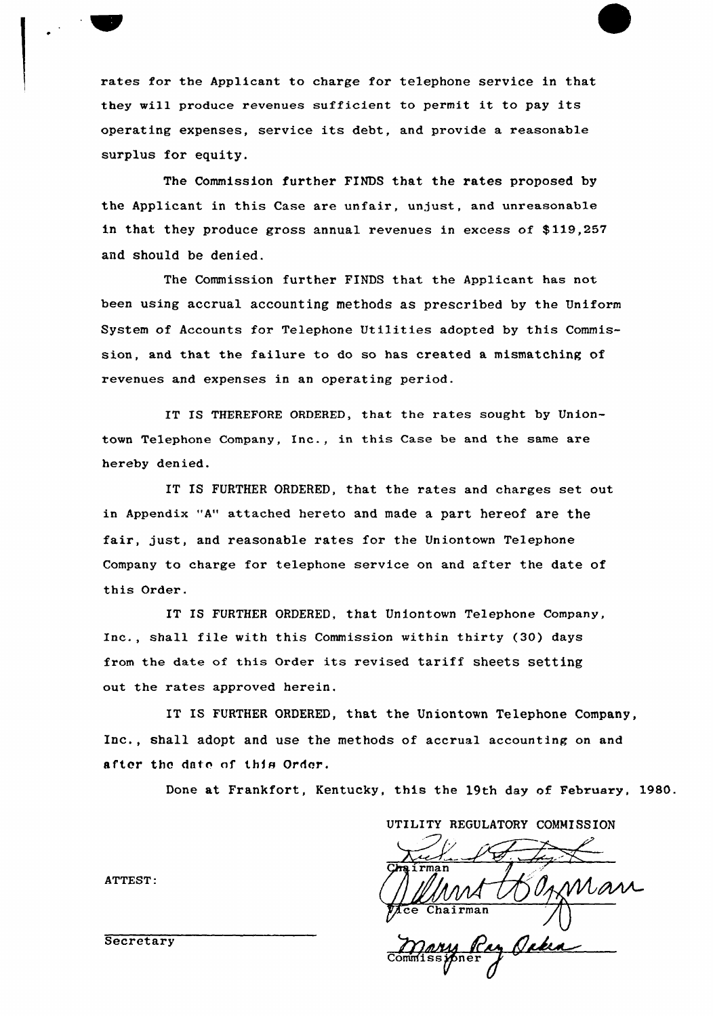rates for the Applicant to charge for telephone service in that they will produce revenues sufficient to permit it to pay its operating expenses, service its debt, and provide a reasonable surplus for equity.

The Commission further FINDS that the rates proposed by the Applicant in this Case are unfair, unjust, and unreasonable in that they produce gross annual revenues in excess of \$ 119,257 and should be denied.

The Commission further FINDS that the Applicant has not been using accrual accounting methods as prescribed by the Uniform System of Accounts for Telephone Utilities adopted by this Commission, and that the failure to do so has created a mismatching of revenues and expenses in an operating period.

IT IS THEREFORE ORDERED, that the rates sought by Uniontown Telephone Company, Inc., in this Case be and the same are hereby denied.

IT IS FURTHER ORDERED, that the rates and charges set out in Appendix "A" attached hereto and made a part hereof are the fair, just, and reasonable rates for the Uniontown Telephone Company to charge for telephone service on and after the date of this Order.

IT IS FURTHER ORDERED, that Uniontown Telephone Company, Inc., shall file with this Commission within thirty (30) days from the date of this Order its revised tariff sheets setting out the rates approved herein.

IT IS FURTHER ORDERED, that the Uniontown Telephone Company, Inc., shall adopt and use the methods of accrual accounting on and after the date of this Order.

Done at Frankfort, Kentucky, this the 19th day of February, 1980.

UTILITY REGULATORY COMMISSION  $\not\!\!\!/\,\vec{\mathcal{E}}$ Chairman Mary Ray Ocka

a *v*i<br>Sner

ATTEST:

**Secretary**